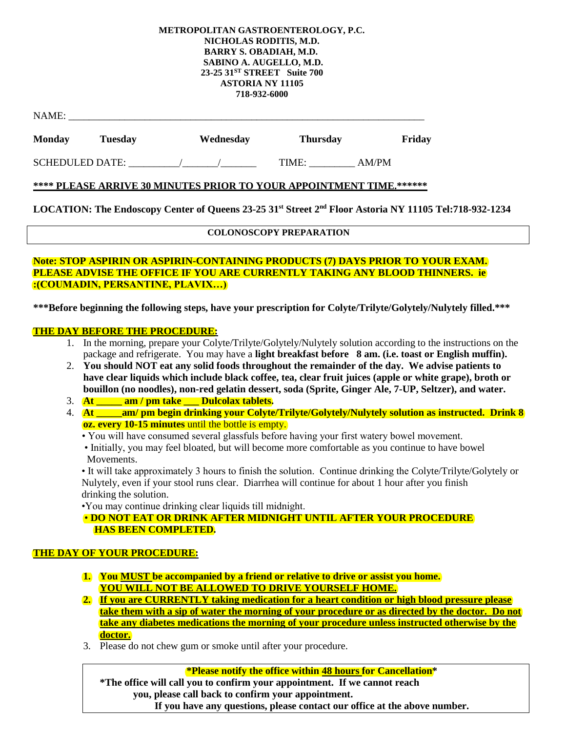#### **METROPOLITAN GASTROENTEROLOGY, P.C. NICHOLAS RODITIS, M.D. BARRY S. OBADIAH, M.D. SABINO A. AUGELLO, M.D. 23-25 31ST STREET Suite 700 ASTORIA NY 11105 718-932-6000**

| NAME:                  |         |  |           |                 |       |        |
|------------------------|---------|--|-----------|-----------------|-------|--------|
| <b>Monday</b>          | Tuesday |  | Wednesday | <b>Thursday</b> |       | Friday |
| <b>SCHEDULED DATE:</b> |         |  |           | TIME:           | AM/PM |        |

# **\*\*\*\* PLEASE ARRIVE 30 MINUTES PRIOR TO YOUR APPOINTMENT TIME.\*\*\*\*\*\***

**LOCATION: The Endoscopy Center of Queens 23-25 31st Street 2nd Floor Astoria NY 11105 Tel:718-932-1234**

# **COLONOSCOPY PREPARATION**

### **Note: STOP ASPIRIN OR ASPIRIN-CONTAINING PRODUCTS (7) DAYS PRIOR TO YOUR EXAM. PLEASE ADVISE THE OFFICE IF YOU ARE CURRENTLY TAKING ANY BLOOD THINNERS. ie :(COUMADIN, PERSANTINE, PLAVIX…)**

**\*\*\*Before beginning the following steps, have your prescription for Colyte/Trilyte/Golytely/Nulytely filled.\*\*\***

# **THE DAY BEFORE THE PROCEDURE:**

- 1. In the morning, prepare your Colyte/Trilyte/Golytely/Nulytely solution according to the instructions on the package and refrigerate. You may have a **light breakfast before 8 am. (i.e. toast or English muffin).**
- 2. **You should NOT eat any solid foods throughout the remainder of the day. We advise patients to have clear liquids which include black coffee, tea, clear fruit juices (apple or white grape), broth or bouillon (no noodles), non-red gelatin dessert, soda (Sprite, Ginger Ale, 7-UP, Seltzer), and water.**
- 3. **At \_\_\_\_\_ am / pm take \_\_\_ Dulcolax tablets.**
- 4. **At \_\_\_\_\_am/ pm begin drinking your Colyte/Trilyte/Golytely/Nulytely solution as instructed. Drink 8 oz. every 10-15 minutes** until the bottle is empty.
	- You will have consumed several glassfuls before having your first watery bowel movement.
	- Initially, you may feel bloated, but will become more comfortable as you continue to have bowel Movements.

 • It will take approximately 3 hours to finish the solution. Continue drinking the Colyte/Trilyte/Golytely or Nulytely, even if your stool runs clear. Diarrhea will continue for about 1 hour after you finish drinking the solution.

•You may continue drinking clear liquids till midnight.

 • **DO NOT EAT OR DRINK AFTER MIDNIGHT UNTIL AFTER YOUR PROCEDURE HAS BEEN COMPLETED.**

# **THE DAY OF YOUR PROCEDURE:**

- **1. You MUST be accompanied by a friend or relative to drive or assist you home. YOU WILL NOT BE ALLOWED TO DRIVE YOURSELF HOME.**
- **2. If you are CURRENTLY taking medication for a heart condition or high blood pressure please take them with a sip of water the morning of your procedure or as directed by the doctor. Do not take any diabetes medications the morning of your procedure unless instructed otherwise by the doctor.**
- 3. Please do not chew gum or smoke until after your procedure.

**\*Please notify the office within 48 hours for Cancellation\***

**\*The office will call you to confirm your appointment. If we cannot reach you, please call back to confirm your appointment.** 

**If you have any questions, please contact our office at the above number.**